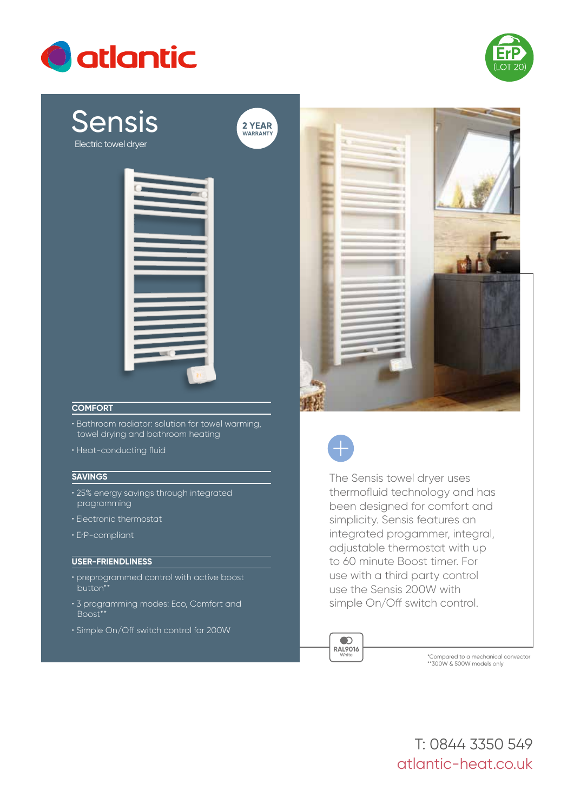



# Sensis Electric towel dryer



2 YEAR<br>WARRANTY

### **COMFORT**

- Bathroom radiator: solution for towel warming, towel drying and bathroom heating
- Heat-conducting fluid

#### **SAVINGS**

- 25% energy savings through integrated programming
- Electronic thermostat
- ErP-compliant

#### **USER-FRIENDLINESS**

- preprogrammed control with active boost button\*\*
- 3 programming modes: Eco, Comfort and Boost\*\*
- Simple On/Off switch control for 200W





The Sensis towel dryer uses thermofluid technology and has been designed for comfort and simplicity. Sensis features an integrated progammer, integral, adjustable thermostat with up to 60 minute Boost timer. For use with a third party control use the Sensis 200W with simple On/Off switch control.

 $\bullet$ **RAL9016** White

\*Compared to a mechanical convector \*\*300W & 500W models only

atlantic-heat.co.uk T: 0844 3350 549